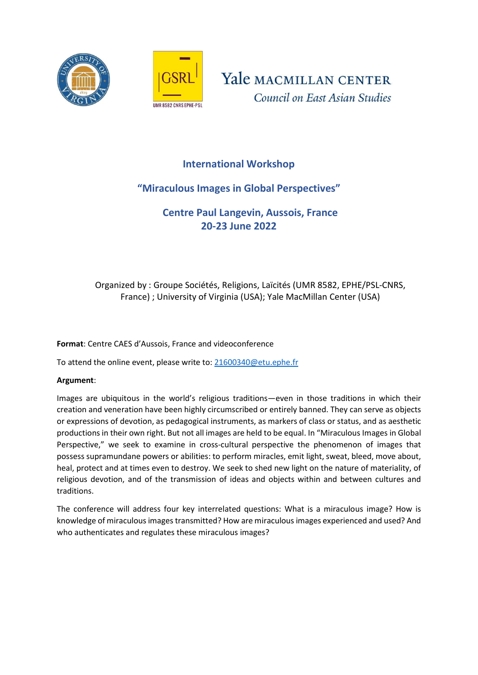



Yale MACMILLAN CENTER Council on East Asian Studies

## International Workshop

# "Miraculous Images in Global Perspectives"

# Centre Paul Langevin, Aussois, France 20-23 June 2022

## Organized by : Groupe Sociétés, Religions, Laïcités (UMR 8582, EPHE/PSL-CNRS, France) ; University of Virginia (USA); Yale MacMillan Center (USA)

Format: Centre CAES d'Aussois, France and videoconference

To attend the online event, please write to: 21600340@etu.ephe.fr

## Argument:

Images are ubiquitous in the world's religious traditions—even in those traditions in which their creation and veneration have been highly circumscribed or entirely banned. They can serve as objects or expressions of devotion, as pedagogical instruments, as markers of class or status, and as aesthetic productions in their own right. But not all images are held to be equal. In "Miraculous Images in Global Perspective," we seek to examine in cross-cultural perspective the phenomenon of images that possess supramundane powers or abilities: to perform miracles, emit light, sweat, bleed, move about, heal, protect and at times even to destroy. We seek to shed new light on the nature of materiality, of religious devotion, and of the transmission of ideas and objects within and between cultures and traditions.

The conference will address four key interrelated questions: What is a miraculous image? How is knowledge of miraculous images transmitted? How are miraculous images experienced and used? And who authenticates and regulates these miraculous images?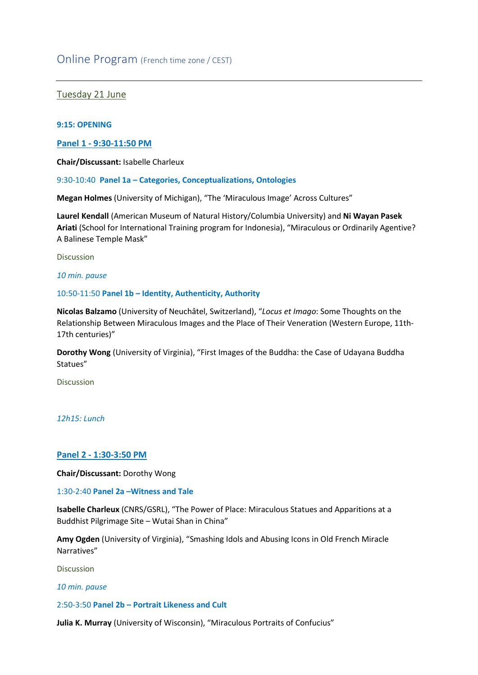## Tuesday 21 June

#### 9:15: OPENING

#### Panel 1 - 9:30-11:50 PM

Chair/Discussant: Isabelle Charleux

#### 9:30-10:40 Panel 1a – Categories, Conceptualizations, Ontologies

Megan Holmes (University of Michigan), "The 'Miraculous Image' Across Cultures"

Laurel Kendall (American Museum of Natural History/Columbia University) and Ni Wayan Pasek Ariati (School for International Training program for Indonesia), "Miraculous or Ordinarily Agentive? A Balinese Temple Mask"

Discussion

#### 10 min. pause

#### 10:50-11:50 Panel 1b – Identity, Authenticity, Authority

Nicolas Balzamo (University of Neuchâtel, Switzerland), "Locus et Imago: Some Thoughts on the Relationship Between Miraculous Images and the Place of Their Veneration (Western Europe, 11th-17th centuries)"

Dorothy Wong (University of Virginia), "First Images of the Buddha: the Case of Udayana Buddha Statues"

Discussion

#### 12h15: Lunch

#### Panel 2 - 1:30-3:50 PM

Chair/Discussant: Dorothy Wong

#### 1:30-2:40 Panel 2a –Witness and Tale

Isabelle Charleux (CNRS/GSRL), "The Power of Place: Miraculous Statues and Apparitions at a Buddhist Pilgrimage Site – Wutai Shan in China"

Amy Ogden (University of Virginia), "Smashing Idols and Abusing Icons in Old French Miracle Narratives"

Discussion

#### 10 min. pause

#### 2:50-3:50 Panel 2b – Portrait Likeness and Cult

Julia K. Murray (University of Wisconsin), "Miraculous Portraits of Confucius"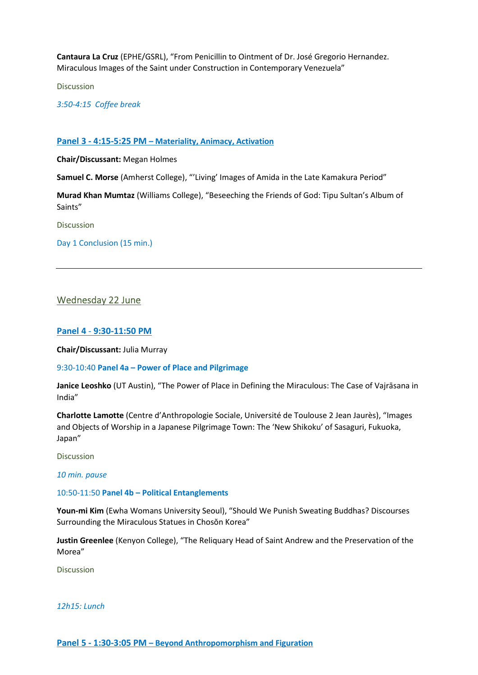Cantaura La Cruz (EPHE/GSRL), "From Penicillin to Ointment of Dr. José Gregorio Hernandez. Miraculous Images of the Saint under Construction in Contemporary Venezuela"

Discussion

3:50-4:15 Coffee break

#### Panel 3 - 4:15-5:25 PM – Materiality, Animacy, Activation

Chair/Discussant: Megan Holmes

Samuel C. Morse (Amherst College), "'Living' Images of Amida in the Late Kamakura Period"

Murad Khan Mumtaz (Williams College), "Beseeching the Friends of God: Tipu Sultan's Album of Saints"

Discussion

Day 1 Conclusion (15 min.)

## Wednesday 22 June

#### Panel 4 - 9:30-11:50 PM

Chair/Discussant: Julia Murray

9:30-10:40 Panel 4a – Power of Place and Pilgrimage

Janice Leoshko (UT Austin), "The Power of Place in Defining the Miraculous: The Case of Vajrāsana in India"

Charlotte Lamotte (Centre d'Anthropologie Sociale, Université de Toulouse 2 Jean Jaurès), "Images and Objects of Worship in a Japanese Pilgrimage Town: The 'New Shikoku' of Sasaguri, Fukuoka, Japan"

Discussion

10 min. pause

#### 10:50-11:50 Panel 4b – Political Entanglements

Youn-mi Kim (Ewha Womans University Seoul), "Should We Punish Sweating Buddhas? Discourses Surrounding the Miraculous Statues in Chosŏn Korea"

Justin Greenlee (Kenyon College), "The Reliquary Head of Saint Andrew and the Preservation of the Morea"

Discussion

#### 12h15: Lunch